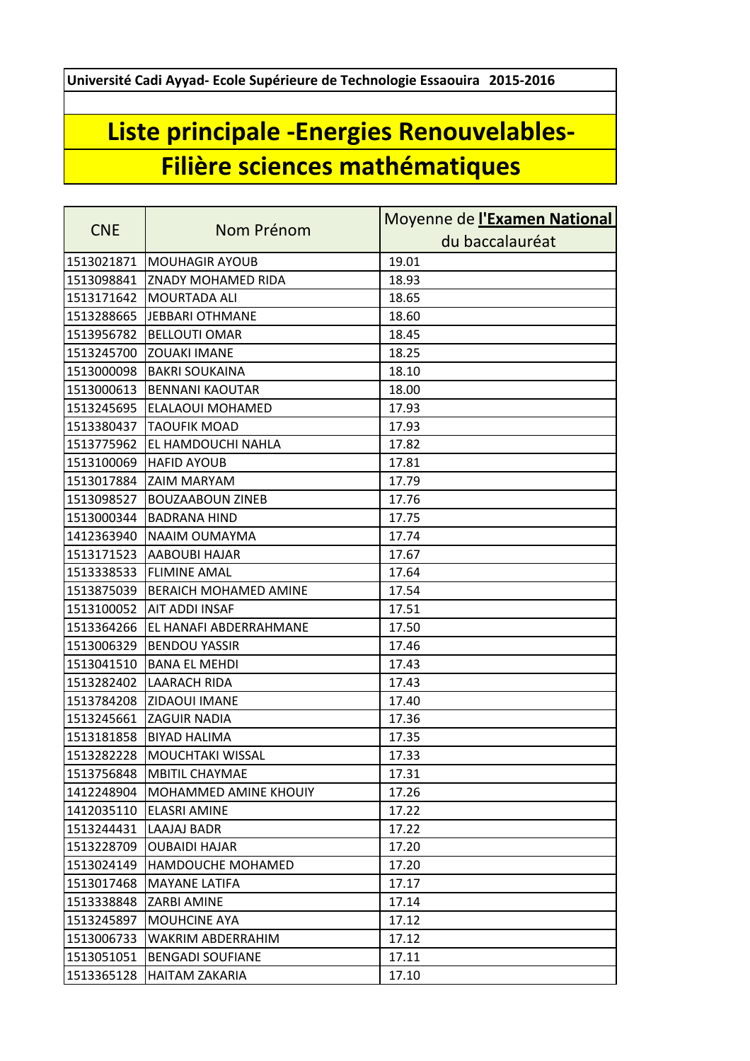**Université Cadi Ayyad- Ecole Supérieure de Technologie Essaouira 2015-2016**

## **Liste principale -Energies Renouvelables-Filière sciences mathématiques**

|            |                              | Moyenne de l'Examen National |
|------------|------------------------------|------------------------------|
| <b>CNE</b> | Nom Prénom                   | du baccalauréat              |
| 1513021871 | <b>MOUHAGIR AYOUB</b>        | 19.01                        |
| 1513098841 | <b>ZNADY MOHAMED RIDA</b>    | 18.93                        |
| 1513171642 | <b>MOURTADA ALI</b>          | 18.65                        |
| 1513288665 | JEBBARI OTHMANE              | 18.60                        |
| 1513956782 | <b>BELLOUTI OMAR</b>         | 18.45                        |
| 1513245700 | <b>ZOUAKI IMANE</b>          | 18.25                        |
| 1513000098 | <b>BAKRI SOUKAINA</b>        | 18.10                        |
| 1513000613 | <b>BENNANI KAOUTAR</b>       | 18.00                        |
| 1513245695 | ELALAOUI MOHAMED             | 17.93                        |
| 1513380437 | <b>TAOUFIK MOAD</b>          | 17.93                        |
| 1513775962 | EL HAMDOUCHI NAHLA           | 17.82                        |
| 1513100069 | <b>HAFID AYOUB</b>           | 17.81                        |
| 1513017884 | <b>ZAIM MARYAM</b>           | 17.79                        |
| 1513098527 | <b>BOUZAABOUN ZINEB</b>      | 17.76                        |
| 1513000344 | <b>BADRANA HIND</b>          | 17.75                        |
| 1412363940 | NAAIM OUMAYMA                | 17.74                        |
| 1513171523 | <b>AABOUBI HAJAR</b>         | 17.67                        |
| 1513338533 | <b>FLIMINE AMAL</b>          | 17.64                        |
| 1513875039 | <b>BERAICH MOHAMED AMINE</b> | 17.54                        |
| 1513100052 | <b>AIT ADDI INSAF</b>        | 17.51                        |
| 1513364266 | EL HANAFI ABDERRAHMANE       | 17.50                        |
| 1513006329 | <b>BENDOU YASSIR</b>         | 17.46                        |
| 1513041510 | <b>BANA EL MEHDI</b>         | 17.43                        |
| 1513282402 | <b>LAARACH RIDA</b>          | 17.43                        |
| 1513784208 | ZIDAOUI IMANE                | 17.40                        |
| 1513245661 | <b>ZAGUIR NADIA</b>          | 17.36                        |
| 1513181858 | <b>BIYAD HALIMA</b>          | 17.35                        |
| 1513282228 | <b>MOUCHTAKI WISSAL</b>      | 17.33                        |
| 1513756848 | MBITIL CHAYMAE               | 17.31                        |
| 1412248904 | <b>MOHAMMED AMINE KHOUIY</b> | 17.26                        |
| 1412035110 | <b>ELASRI AMINE</b>          | 17.22                        |
| 1513244431 | LAAJAJ BADR                  | 17.22                        |
| 1513228709 | <b>OUBAIDI HAJAR</b>         | 17.20                        |
| 1513024149 | <b>HAMDOUCHE MOHAMED</b>     | 17.20                        |
| 1513017468 | <b>MAYANE LATIFA</b>         | 17.17                        |
| 1513338848 | <b>ZARBI AMINE</b>           | 17.14                        |
| 1513245897 | <b>MOUHCINE AYA</b>          | 17.12                        |
| 1513006733 | WAKRIM ABDERRAHIM            | 17.12                        |
| 1513051051 | <b>BENGADI SOUFIANE</b>      | 17.11                        |
| 1513365128 | <b>HAITAM ZAKARIA</b>        | 17.10                        |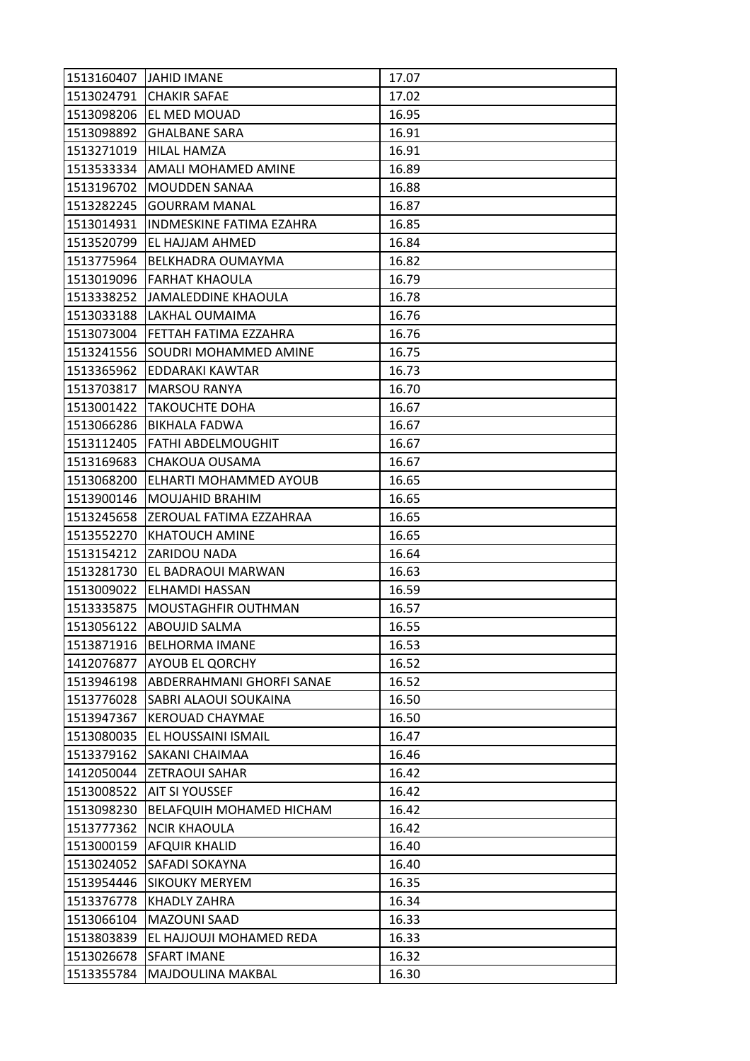|            | 1513160407 JAHID IMANE          | 17.07 |
|------------|---------------------------------|-------|
|            | 1513024791 CHAKIR SAFAE         | 17.02 |
| 1513098206 | <b>EL MED MOUAD</b>             | 16.95 |
| 1513098892 | <b>GHALBANE SARA</b>            | 16.91 |
| 1513271019 | HILAL HAMZA                     | 16.91 |
| 1513533334 | AMALI MOHAMED AMINE             | 16.89 |
| 1513196702 | <b>MOUDDEN SANAA</b>            | 16.88 |
| 1513282245 | <b>GOURRAM MANAL</b>            | 16.87 |
| 1513014931 | <b>INDMESKINE FATIMA EZAHRA</b> | 16.85 |
| 1513520799 | EL HAJJAM AHMED                 | 16.84 |
| 1513775964 | BELKHADRA OUMAYMA               | 16.82 |
| 1513019096 | FARHAT KHAOULA                  | 16.79 |
| 1513338252 | JAMALEDDINE KHAOULA             | 16.78 |
| 1513033188 | LAKHAL OUMAIMA                  | 16.76 |
| 1513073004 | FETTAH FATIMA EZZAHRA           | 16.76 |
| 1513241556 | <b>SOUDRI MOHAMMED AMINE</b>    | 16.75 |
| 1513365962 | EDDARAKI KAWTAR                 | 16.73 |
| 1513703817 | <b>MARSOU RANYA</b>             | 16.70 |
| 1513001422 | <b>TAKOUCHTE DOHA</b>           | 16.67 |
| 1513066286 | <b>BIKHALA FADWA</b>            | 16.67 |
| 1513112405 | FATHI ABDELMOUGHIT              | 16.67 |
| 1513169683 | CHAKOUA OUSAMA                  | 16.67 |
| 1513068200 | ELHARTI MOHAMMED AYOUB          | 16.65 |
| 1513900146 | <b>MOUJAHID BRAHIM</b>          | 16.65 |
| 1513245658 | ZEROUAL FATIMA EZZAHRAA         | 16.65 |
| 1513552270 | <b>KHATOUCH AMINE</b>           | 16.65 |
| 1513154212 | <b>ZARIDOU NADA</b>             | 16.64 |
| 1513281730 | EL BADRAOUI MARWAN              | 16.63 |
| 1513009022 | ELHAMDI HASSAN                  | 16.59 |
| 1513335875 | MOUSTAGHFIR OUTHMAN             | 16.57 |
| 1513056122 | ABOUJID SALMA                   | 16.55 |
| 1513871916 | <b>BELHORMA IMANE</b>           | 16.53 |
| 1412076877 | <b>AYOUB EL QORCHY</b>          | 16.52 |
| 1513946198 | ABDERRAHMANI GHORFI SANAE       | 16.52 |
| 1513776028 | SABRI ALAOUI SOUKAINA           | 16.50 |
| 1513947367 | <b>KEROUAD CHAYMAE</b>          | 16.50 |
| 1513080035 | EL HOUSSAINI ISMAIL             | 16.47 |
| 1513379162 | <b>SAKANI CHAIMAA</b>           | 16.46 |
| 1412050044 | <b>ZETRAOUI SAHAR</b>           | 16.42 |
| 1513008522 | <b>AIT SI YOUSSEF</b>           | 16.42 |
| 1513098230 | <b>BELAFQUIH MOHAMED HICHAM</b> | 16.42 |
| 1513777362 | <b>NCIR KHAOULA</b>             | 16.42 |
| 1513000159 | <b>AFQUIR KHALID</b>            | 16.40 |
| 1513024052 | SAFADI SOKAYNA                  | 16.40 |
| 1513954446 | <b>SIKOUKY MERYEM</b>           | 16.35 |
| 1513376778 | KHADLY ZAHRA                    | 16.34 |
| 1513066104 | <b>MAZOUNI SAAD</b>             | 16.33 |
| 1513803839 | EL HAJJOUJI MOHAMED REDA        | 16.33 |
| 1513026678 | <b>SFART IMANE</b>              | 16.32 |
| 1513355784 | MAJDOULINA MAKBAL               | 16.30 |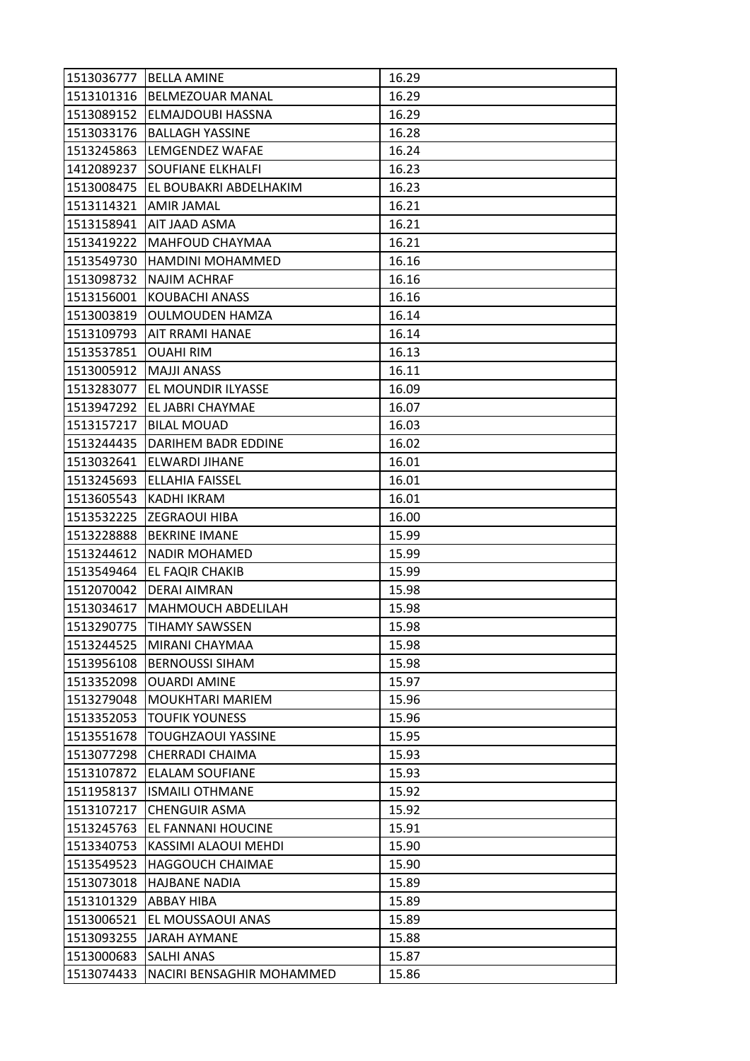| 1513036777 | <b>BELLA AMINE</b>                | 16.29 |
|------------|-----------------------------------|-------|
| 1513101316 | <b>BELMEZOUAR MANAL</b>           | 16.29 |
| 1513089152 | <b>ELMAJDOUBI HASSNA</b>          | 16.29 |
| 1513033176 | <b>BALLAGH YASSINE</b>            | 16.28 |
| 1513245863 | LEMGENDEZ WAFAE                   | 16.24 |
| 1412089237 | SOUFIANE ELKHALFI                 | 16.23 |
|            | 1513008475 EL BOUBAKRI ABDELHAKIM | 16.23 |
| 1513114321 | <b>AMIR JAMAL</b>                 | 16.21 |
| 1513158941 | AIT JAAD ASMA                     | 16.21 |
| 1513419222 | MAHFOUD CHAYMAA                   | 16.21 |
| 1513549730 | HAMDINI MOHAMMED                  | 16.16 |
| 1513098732 | <b>NAJIM ACHRAF</b>               | 16.16 |
| 1513156001 | KOUBACHI ANASS                    | 16.16 |
| 1513003819 | <b>OULMOUDEN HAMZA</b>            | 16.14 |
| 1513109793 | <b>AIT RRAMI HANAE</b>            | 16.14 |
| 1513537851 | <b>OUAHIRIM</b>                   | 16.13 |
| 1513005912 | <b>MAJJI ANASS</b>                | 16.11 |
| 1513283077 | EL MOUNDIR ILYASSE                | 16.09 |
| 1513947292 | EL JABRI CHAYMAE                  | 16.07 |
| 1513157217 | <b>BILAL MOUAD</b>                | 16.03 |
| 1513244435 | <b>DARIHEM BADR EDDINE</b>        | 16.02 |
| 1513032641 | ELWARDI JIHANE                    | 16.01 |
| 1513245693 | <b>ELLAHIA FAISSEL</b>            | 16.01 |
| 1513605543 | KADHI IKRAM                       | 16.01 |
| 1513532225 | IZEGRAOUI HIBA                    | 16.00 |
| 1513228888 | <b>BEKRINE IMANE</b>              | 15.99 |
| 1513244612 | <b>NADIR MOHAMED</b>              | 15.99 |
| 1513549464 | EL FAQIR CHAKIB                   | 15.99 |
| 1512070042 | <b>DERAI AIMRAN</b>               | 15.98 |
| 1513034617 | <b>MAHMOUCH ABDELILAH</b>         | 15.98 |
| 1513290775 | <b>TIHAMY SAWSSEN</b>             | 15.98 |
| 1513244525 | MIRANI CHAYMAA                    | 15.98 |
| 1513956108 | <b>BERNOUSSI SIHAM</b>            | 15.98 |
| 1513352098 | <b>OUARDI AMINE</b>               | 15.97 |
| 1513279048 | <b>MOUKHTARI MARIEM</b>           | 15.96 |
| 1513352053 | <b>TOUFIK YOUNESS</b>             | 15.96 |
| 1513551678 | <b>TOUGHZAOUI YASSINE</b>         | 15.95 |
| 1513077298 | <b>CHERRADI CHAIMA</b>            | 15.93 |
| 1513107872 | <b>ELALAM SOUFIANE</b>            | 15.93 |
| 1511958137 | <b>ISMAILI OTHMANE</b>            | 15.92 |
| 1513107217 | <b>CHENGUIR ASMA</b>              | 15.92 |
| 1513245763 | <b>EL FANNANI HOUCINE</b>         | 15.91 |
| 1513340753 | KASSIMI ALAOUI MEHDI              | 15.90 |
| 1513549523 | <b>HAGGOUCH CHAIMAE</b>           | 15.90 |
| 1513073018 | <b>HAJBANE NADIA</b>              | 15.89 |
| 1513101329 | <b>ABBAY HIBA</b>                 | 15.89 |
| 1513006521 | EL MOUSSAOUI ANAS                 | 15.89 |
| 1513093255 | JARAH AYMANE                      | 15.88 |
| 1513000683 | <b>SALHI ANAS</b>                 | 15.87 |
| 1513074433 | NACIRI BENSAGHIR MOHAMMED         | 15.86 |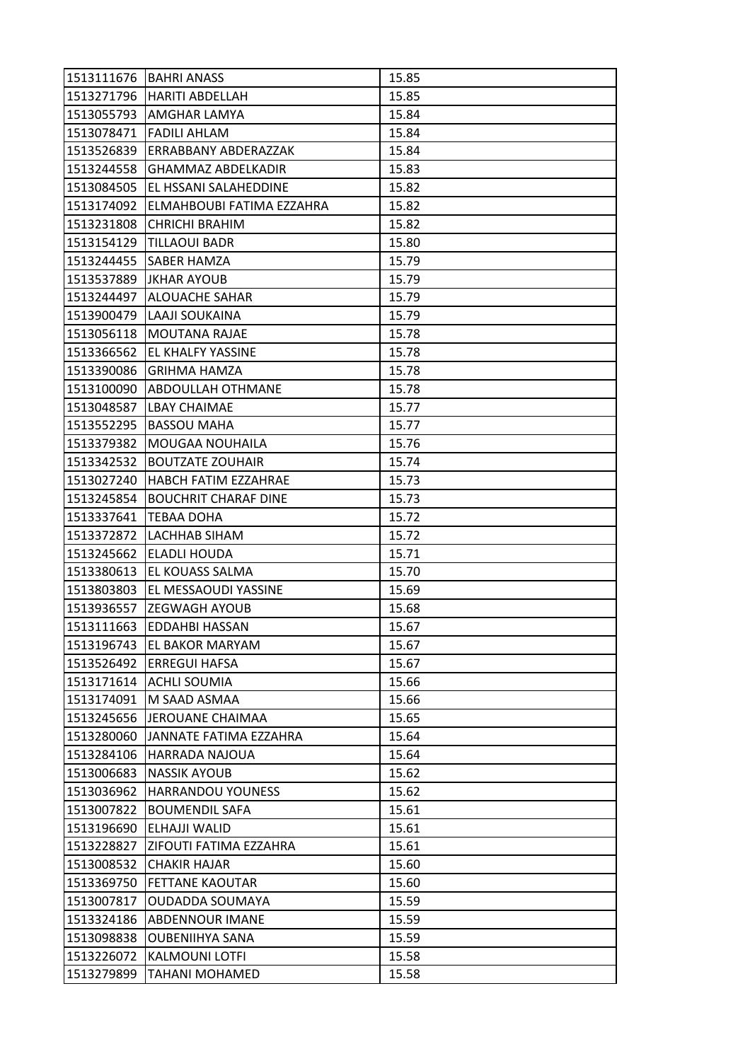| 1513111676 | <b>BAHRI ANASS</b>           | 15.85 |
|------------|------------------------------|-------|
|            | 1513271796   HARITI ABDELLAH | 15.85 |
| 1513055793 | AMGHAR LAMYA                 | 15.84 |
| 1513078471 | <b>FADILI AHLAM</b>          | 15.84 |
| 1513526839 | ERRABBANY ABDERAZZAK         | 15.84 |
| 1513244558 | GHAMMAZ ABDELKADIR           | 15.83 |
| 1513084505 | EL HSSANI SALAHEDDINE        | 15.82 |
| 1513174092 | ELMAHBOUBI FATIMA EZZAHRA    | 15.82 |
| 1513231808 | <b>CHRICHI BRAHIM</b>        | 15.82 |
| 1513154129 | TILLAOUI BADR                | 15.80 |
| 1513244455 | <b>SABER HAMZA</b>           | 15.79 |
| 1513537889 | <b>JKHAR AYOUB</b>           | 15.79 |
| 1513244497 | <b>ALOUACHE SAHAR</b>        | 15.79 |
| 1513900479 | LAAJI SOUKAINA               | 15.79 |
| 1513056118 | <b>MOUTANA RAJAE</b>         | 15.78 |
| 1513366562 | EL KHALFY YASSINE            | 15.78 |
| 1513390086 | <b>GRIHMA HAMZA</b>          | 15.78 |
| 1513100090 | ABDOULLAH OTHMANE            | 15.78 |
| 1513048587 | <b>LBAY CHAIMAE</b>          | 15.77 |
| 1513552295 | <b>BASSOU MAHA</b>           | 15.77 |
| 1513379382 | <b>MOUGAA NOUHAILA</b>       | 15.76 |
| 1513342532 | <b>BOUTZATE ZOUHAIR</b>      | 15.74 |
| 1513027240 | HABCH FATIM EZZAHRAE         | 15.73 |
| 1513245854 | <b>BOUCHRIT CHARAF DINE</b>  | 15.73 |
| 1513337641 | <b>TEBAA DOHA</b>            | 15.72 |
| 1513372872 | LACHHAB SIHAM                | 15.72 |
| 1513245662 | ELADLI HOUDA                 | 15.71 |
| 1513380613 | EL KOUASS SALMA              | 15.70 |
| 1513803803 | EL MESSAOUDI YASSINE         | 15.69 |
| 1513936557 | <b>ZEGWAGH AYOUB</b>         | 15.68 |
| 1513111663 | <b>EDDAHBI HASSAN</b>        | 15.67 |
| 1513196743 | EL BAKOR MARYAM              | 15.67 |
| 1513526492 | <b>ERREGUI HAFSA</b>         | 15.67 |
| 1513171614 | <b>ACHLI SOUMIA</b>          | 15.66 |
| 1513174091 | M SAAD ASMAA                 | 15.66 |
| 1513245656 | JEROUANE CHAIMAA             | 15.65 |
| 1513280060 | JANNATE FATIMA EZZAHRA       | 15.64 |
| 1513284106 | HARRADA NAJOUA               | 15.64 |
| 1513006683 | <b>NASSIK AYOUB</b>          | 15.62 |
| 1513036962 | <b>HARRANDOU YOUNESS</b>     | 15.62 |
| 1513007822 | <b>BOUMENDIL SAFA</b>        | 15.61 |
| 1513196690 | ELHAJJI WALID                | 15.61 |
| 1513228827 | ZIFOUTI FATIMA EZZAHRA       | 15.61 |
| 1513008532 | CHAKIR HAJAR                 | 15.60 |
| 1513369750 | <b>FETTANE KAOUTAR</b>       | 15.60 |
| 1513007817 | <b>OUDADDA SOUMAYA</b>       | 15.59 |
| 1513324186 | <b>ABDENNOUR IMANE</b>       | 15.59 |
| 1513098838 | <b>OUBENIIHYA SANA</b>       | 15.59 |
| 1513226072 | <b>KALMOUNI LOTFI</b>        | 15.58 |
| 1513279899 | TAHANI MOHAMED               | 15.58 |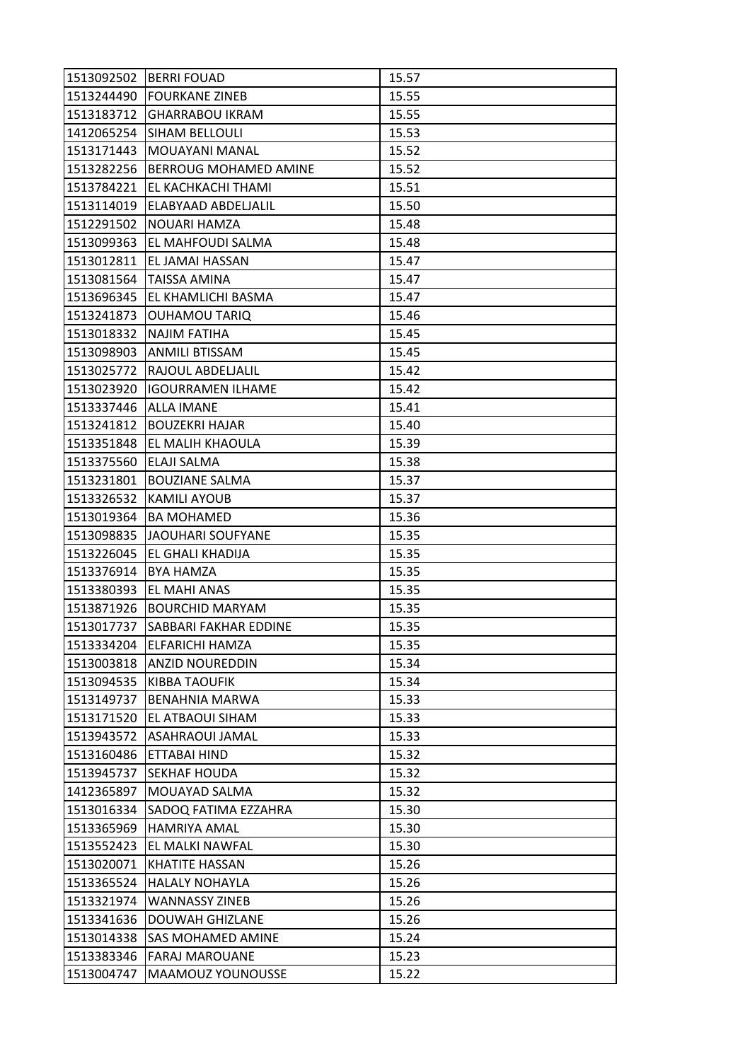| 1513092502 | <b>IBERRI FOUAD</b>          | 15.57 |
|------------|------------------------------|-------|
|            | 1513244490 FOURKANE ZINEB    | 15.55 |
|            | 1513183712 GHARRABOU IKRAM   | 15.55 |
| 1412065254 | SIHAM BELLOULI               | 15.53 |
| 1513171443 | MOUAYANI MANAL               | 15.52 |
| 1513282256 | <b>BERROUG MOHAMED AMINE</b> | 15.52 |
| 1513784221 | EL KACHKACHI THAMI           | 15.51 |
| 1513114019 | ELABYAAD ABDELJALIL          | 15.50 |
| 1512291502 | NOUARI HAMZA                 | 15.48 |
| 1513099363 | <b>EL MAHFOUDI SALMA</b>     | 15.48 |
| 1513012811 | EL JAMAI HASSAN              | 15.47 |
| 1513081564 | <b>TAISSA AMINA</b>          | 15.47 |
| 1513696345 | EL KHAMLICHI BASMA           | 15.47 |
| 1513241873 | <b>OUHAMOU TARIQ</b>         | 15.46 |
| 1513018332 | <b>NAJIM FATIHA</b>          | 15.45 |
|            | 1513098903 ANMILI BTISSAM    | 15.45 |
| 1513025772 | <b>RAJOUL ABDELJALIL</b>     | 15.42 |
| 1513023920 | <b>IGOURRAMEN ILHAME</b>     | 15.42 |
| 1513337446 | <b>ALLA IMANE</b>            | 15.41 |
| 1513241812 | <b>BOUZEKRI HAJAR</b>        | 15.40 |
|            | 1513351848 EL MALIH KHAOULA  | 15.39 |
| 1513375560 | ELAJI SALMA                  | 15.38 |
| 1513231801 | <b>BOUZIANE SALMA</b>        | 15.37 |
| 1513326532 | <b>KAMILI AYOUB</b>          | 15.37 |
| 1513019364 | <b>BA MOHAMED</b>            | 15.36 |
| 1513098835 | JAOUHARI SOUFYANE            | 15.35 |
| 1513226045 | EL GHALI KHADIJA             | 15.35 |
| 1513376914 | <b>BYA HAMZA</b>             | 15.35 |
| 1513380393 | EL MAHI ANAS                 | 15.35 |
| 1513871926 | <b>BOURCHID MARYAM</b>       | 15.35 |
| 1513017737 | SABBARI FAKHAR EDDINE        | 15.35 |
| 1513334204 | <b>ELFARICHI HAMZA</b>       | 15.35 |
|            | 1513003818 ANZID NOUREDDIN   | 15.34 |
| 1513094535 | <b>KIBBA TAOUFIK</b>         | 15.34 |
| 1513149737 | <b>BENAHNIA MARWA</b>        | 15.33 |
| 1513171520 | EL ATBAOUI SIHAM             | 15.33 |
| 1513943572 | ASAHRAOUI JAMAL              | 15.33 |
| 1513160486 | ETTABAI HIND                 | 15.32 |
| 1513945737 | <b>SEKHAF HOUDA</b>          | 15.32 |
| 1412365897 | MOUAYAD SALMA                | 15.32 |
| 1513016334 | SADOQ FATIMA EZZAHRA         | 15.30 |
| 1513365969 | <b>HAMRIYA AMAL</b>          | 15.30 |
| 1513552423 | EL MALKI NAWFAL              | 15.30 |
| 1513020071 | KHATITE HASSAN               | 15.26 |
| 1513365524 | <b>HALALY NOHAYLA</b>        | 15.26 |
| 1513321974 | <b>WANNASSY ZINEB</b>        | 15.26 |
| 1513341636 | <b>DOUWAH GHIZLANE</b>       | 15.26 |
| 1513014338 | <b>SAS MOHAMED AMINE</b>     | 15.24 |
| 1513383346 | <b>FARAJ MAROUANE</b>        | 15.23 |
| 1513004747 | <b>MAAMOUZ YOUNOUSSE</b>     | 15.22 |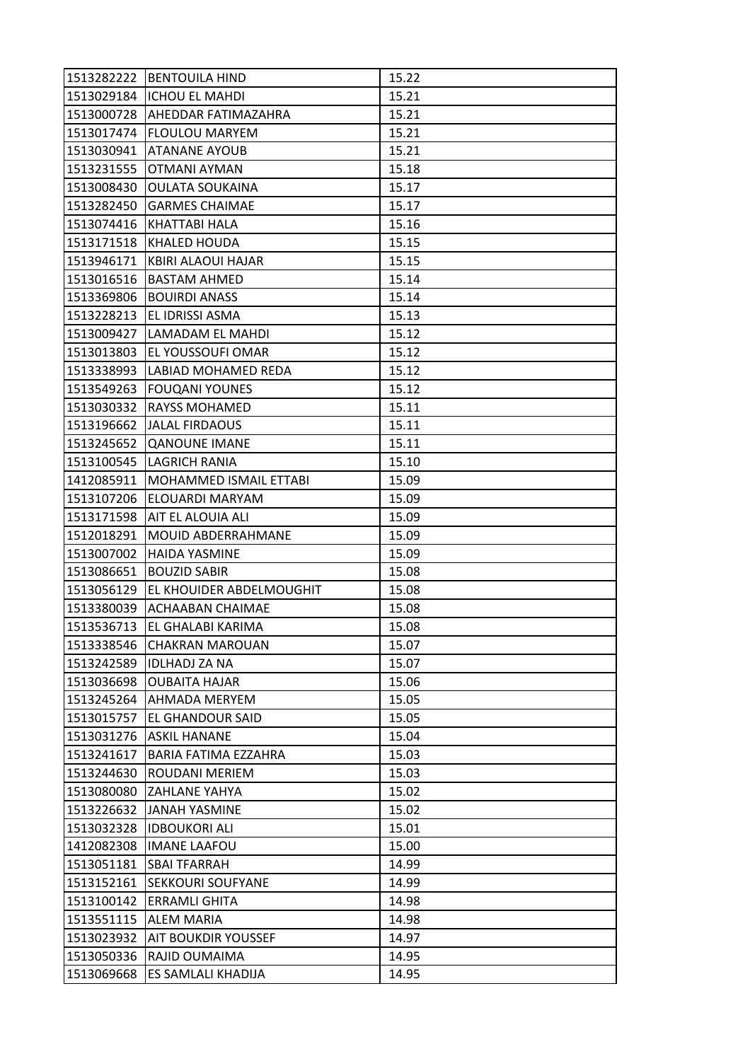| 1513282222 | <b>BENTOUILA HIND</b>         | 15.22 |
|------------|-------------------------------|-------|
|            | 1513029184  ICHOU EL MAHDI    | 15.21 |
| 1513000728 | AHEDDAR FATIMAZAHRA           | 15.21 |
| 1513017474 | <b>FLOULOU MARYEM</b>         | 15.21 |
| 1513030941 | <b>ATANANE AYOUB</b>          | 15.21 |
| 1513231555 | OTMANI AYMAN                  | 15.18 |
| 1513008430 | <b>OULATA SOUKAINA</b>        | 15.17 |
| 1513282450 | <b>GARMES CHAIMAE</b>         | 15.17 |
| 1513074416 | KHATTABI HALA                 | 15.16 |
| 1513171518 | <b>KHALED HOUDA</b>           | 15.15 |
| 1513946171 | KBIRI ALAOUI HAJAR            | 15.15 |
| 1513016516 | <b>BASTAM AHMED</b>           | 15.14 |
| 1513369806 | <b>BOUIRDI ANASS</b>          | 15.14 |
| 1513228213 | EL IDRISSI ASMA               | 15.13 |
| 1513009427 | LAMADAM EL MAHDI              | 15.12 |
| 1513013803 | EL YOUSSOUFI OMAR             | 15.12 |
| 1513338993 | LABIAD MOHAMED REDA           | 15.12 |
| 1513549263 | <b>FOUQANI YOUNES</b>         | 15.12 |
| 1513030332 | <b>RAYSS MOHAMED</b>          | 15.11 |
| 1513196662 | <b>JALAL FIRDAOUS</b>         | 15.11 |
| 1513245652 | <b>QANOUNE IMANE</b>          | 15.11 |
| 1513100545 | LAGRICH RANIA                 | 15.10 |
| 1412085911 | <b>MOHAMMED ISMAIL ETTABI</b> | 15.09 |
| 1513107206 | <b>ELOUARDI MARYAM</b>        | 15.09 |
| 1513171598 | AIT EL ALOUIA ALI             | 15.09 |
|            |                               |       |
| 1512018291 | MOUID ABDERRAHMANE            | 15.09 |
| 1513007002 | <b>HAIDA YASMINE</b>          | 15.09 |
| 1513086651 | <b>BOUZID SABIR</b>           | 15.08 |
| 1513056129 | EL KHOUIDER ABDELMOUGHIT      | 15.08 |
| 1513380039 | <b>ACHAABAN CHAIMAE</b>       | 15.08 |
| 1513536713 | EL GHALABI KARIMA             | 15.08 |
| 1513338546 | <b>CHAKRAN MAROUAN</b>        | 15.07 |
| 1513242589 | <b>IDLHADJ ZA NA</b>          | 15.07 |
| 1513036698 | <b>OUBAITA HAJAR</b>          | 15.06 |
| 1513245264 | AHMADA MERYEM                 | 15.05 |
| 1513015757 | EL GHANDOUR SAID              | 15.05 |
| 1513031276 | <b>ASKIL HANANE</b>           | 15.04 |
| 1513241617 | BARIA FATIMA EZZAHRA          | 15.03 |
| 1513244630 | ROUDANI MERIEM                | 15.03 |
| 1513080080 | <b>ZAHLANE YAHYA</b>          | 15.02 |
| 1513226632 | IJANAH YASMINE                | 15.02 |
| 1513032328 | <b>IDBOUKORI ALI</b>          | 15.01 |
| 1412082308 | <b>IMANE LAAFOU</b>           | 15.00 |
| 1513051181 | <b>SBAI TFARRAH</b>           | 14.99 |
| 1513152161 | <b>SEKKOURI SOUFYANE</b>      | 14.99 |
| 1513100142 | <b>ERRAMLI GHITA</b>          | 14.98 |
| 1513551115 | <b>ALEM MARIA</b>             | 14.98 |
| 1513023932 | <b>AIT BOUKDIR YOUSSEF</b>    | 14.97 |
| 1513050336 | RAJID OUMAIMA                 | 14.95 |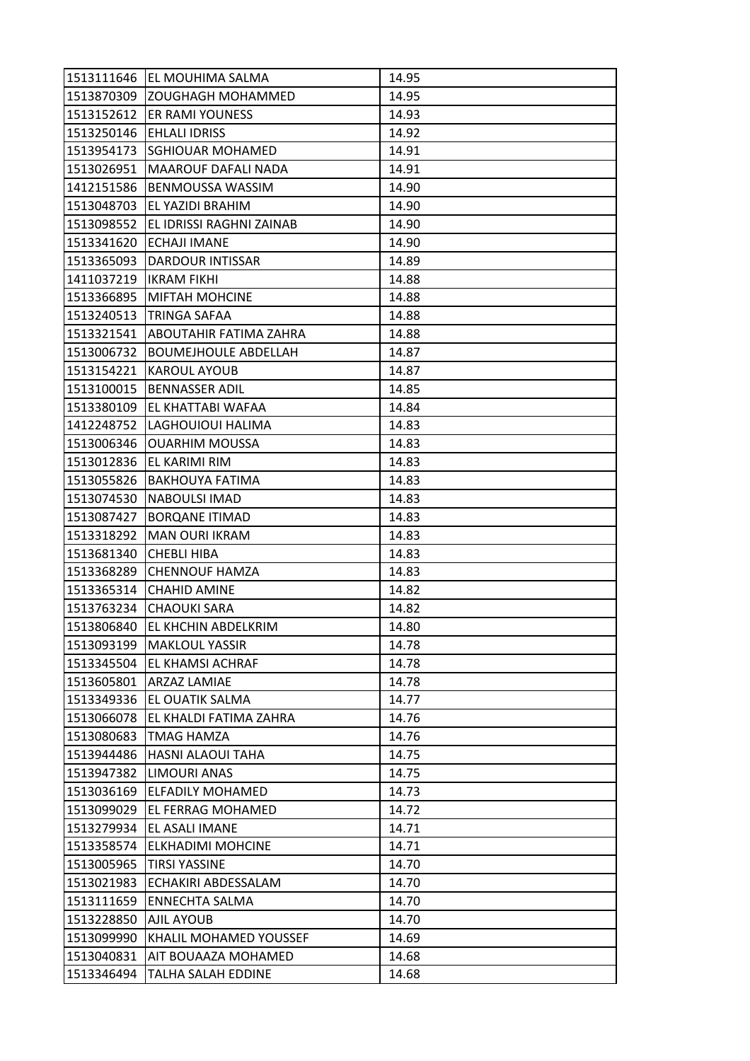| 1513111646 | EL MOUHIMA SALMA            | 14.95 |
|------------|-----------------------------|-------|
| 1513870309 | <b>ZOUGHAGH MOHAMMED</b>    | 14.95 |
| 1513152612 | <b>ER RAMI YOUNESS</b>      | 14.93 |
| 1513250146 | <b>EHLALI IDRISS</b>        | 14.92 |
| 1513954173 | <b>SGHIOUAR MOHAMED</b>     | 14.91 |
| 1513026951 | <b>MAAROUF DAFALI NADA</b>  | 14.91 |
| 1412151586 | <b>BENMOUSSA WASSIM</b>     | 14.90 |
| 1513048703 | EL YAZIDI BRAHIM            | 14.90 |
| 1513098552 | EL IDRISSI RAGHNI ZAINAB    | 14.90 |
| 1513341620 | ECHAJI IMANE                | 14.90 |
| 1513365093 | DARDOUR INTISSAR            | 14.89 |
| 1411037219 | <b>IKRAM FIKHI</b>          | 14.88 |
| 1513366895 | <b>MIFTAH MOHCINE</b>       | 14.88 |
| 1513240513 | TRINGA SAFAA                | 14.88 |
| 1513321541 | ABOUTAHIR FATIMA ZAHRA      | 14.88 |
| 1513006732 | <b>BOUMEJHOULE ABDELLAH</b> | 14.87 |
| 1513154221 | <b>KAROUL AYOUB</b>         | 14.87 |
| 1513100015 | <b>BENNASSER ADIL</b>       | 14.85 |
| 1513380109 | EL KHATTABI WAFAA           | 14.84 |
| 1412248752 | LAGHOUIOUI HALIMA           | 14.83 |
| 1513006346 | <b>OUARHIM MOUSSA</b>       | 14.83 |
| 1513012836 | EL KARIMI RIM               | 14.83 |
| 1513055826 | <b>BAKHOUYA FATIMA</b>      | 14.83 |
| 1513074530 | <b>NABOULSI IMAD</b>        | 14.83 |
| 1513087427 | <b>BORQANE ITIMAD</b>       | 14.83 |
| 1513318292 | <b>MAN OURI IKRAM</b>       | 14.83 |
| 1513681340 | <b>CHEBLI HIBA</b>          | 14.83 |
| 1513368289 | <b>CHENNOUF HAMZA</b>       | 14.83 |
| 1513365314 | <b>CHAHID AMINE</b>         | 14.82 |
| 1513763234 | <b>CHAOUKI SARA</b>         | 14.82 |
| 1513806840 | EL KHCHIN ABDELKRIM         | 14.80 |
| 1513093199 | <b>MAKLOUL YASSIR</b>       | 14.78 |
| 1513345504 | <b>EL KHAMSI ACHRAF</b>     | 14.78 |
| 1513605801 | <b>ARZAZ LAMIAE</b>         | 14.78 |
| 1513349336 | EL OUATIK SALMA             | 14.77 |
| 1513066078 | EL KHALDI FATIMA ZAHRA      | 14.76 |
| 1513080683 | <b>TMAG HAMZA</b>           | 14.76 |
| 1513944486 | <b>HASNI ALAOUI TAHA</b>    | 14.75 |
| 1513947382 | LIMOURI ANAS                | 14.75 |
| 1513036169 | <b>ELFADILY MOHAMED</b>     | 14.73 |
| 1513099029 | EL FERRAG MOHAMED           | 14.72 |
| 1513279934 | EL ASALI IMANE              | 14.71 |
| 1513358574 | <b>ELKHADIMI MOHCINE</b>    | 14.71 |
| 1513005965 | <b>TIRSI YASSINE</b>        | 14.70 |
| 1513021983 | ECHAKIRI ABDESSALAM         | 14.70 |
| 1513111659 | <b>ENNECHTA SALMA</b>       | 14.70 |
| 1513228850 | AJIL AYOUB                  | 14.70 |
| 1513099990 | KHALIL MOHAMED YOUSSEF      | 14.69 |
| 1513040831 | AIT BOUAAZA MOHAMED         | 14.68 |
| 1513346494 | TALHA SALAH EDDINE          | 14.68 |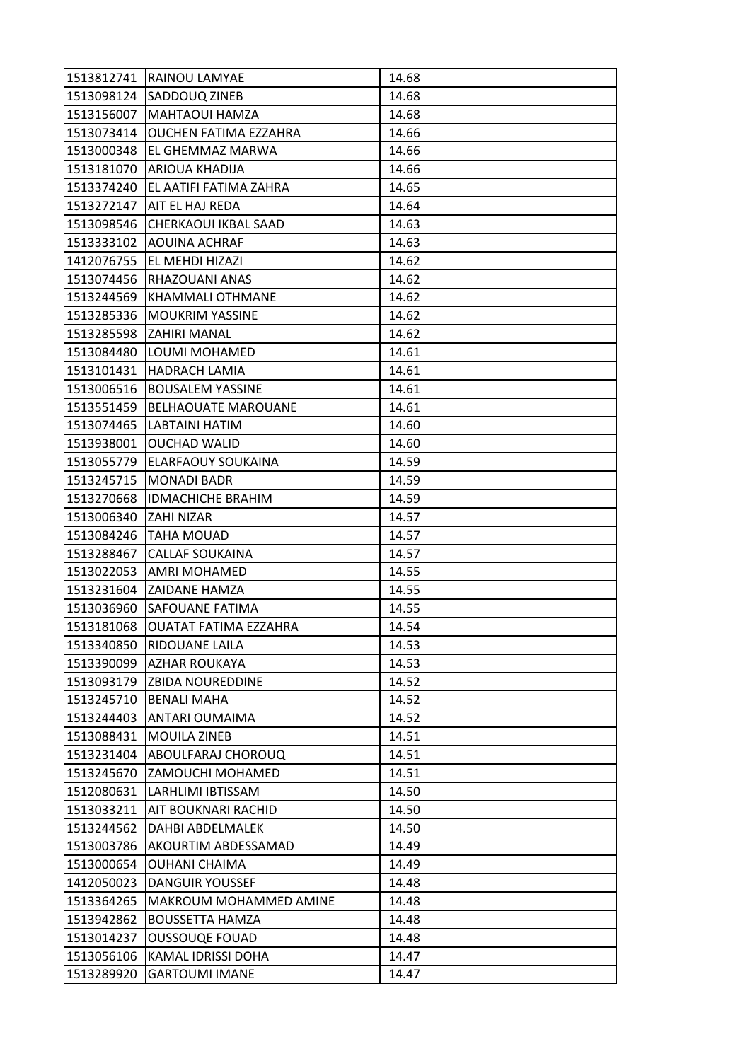| 1513812741 | <b>RAINOU LAMYAE</b>         | 14.68 |
|------------|------------------------------|-------|
| 1513098124 | SADDOUQ ZINEB                | 14.68 |
| 1513156007 | MAHTAOUI HAMZA               | 14.68 |
| 1513073414 | <b>OUCHEN FATIMA EZZAHRA</b> | 14.66 |
| 1513000348 | EL GHEMMAZ MARWA             | 14.66 |
| 1513181070 | ARIOUA KHADIJA               | 14.66 |
| 1513374240 | EL AATIFI FATIMA ZAHRA       | 14.65 |
| 1513272147 | AIT EL HAJ REDA              | 14.64 |
| 1513098546 | CHERKAOUI IKBAL SAAD         | 14.63 |
| 1513333102 | <b>AOUINA ACHRAF</b>         | 14.63 |
| 1412076755 | EL MEHDI HIZAZI              | 14.62 |
| 1513074456 | RHAZOUANI ANAS               | 14.62 |
| 1513244569 | <b>KHAMMALI OTHMANE</b>      | 14.62 |
| 1513285336 | <b>MOUKRIM YASSINE</b>       | 14.62 |
| 1513285598 | <b>ZAHIRI MANAL</b>          | 14.62 |
| 1513084480 | LOUMI MOHAMED                | 14.61 |
| 1513101431 | <b>HADRACH LAMIA</b>         | 14.61 |
| 1513006516 | <b>BOUSALEM YASSINE</b>      | 14.61 |
| 1513551459 | <b>BELHAOUATE MAROUANE</b>   | 14.61 |
| 1513074465 | LABTAINI HATIM               | 14.60 |
| 1513938001 | <b>OUCHAD WALID</b>          | 14.60 |
| 1513055779 | ELARFAOUY SOUKAINA           | 14.59 |
| 1513245715 | <b>MONADI BADR</b>           | 14.59 |
| 1513270668 | <b>IDMACHICHE BRAHIM</b>     | 14.59 |
| 1513006340 | ZAHI NIZAR                   | 14.57 |
| 1513084246 | <b>TAHA MOUAD</b>            | 14.57 |
| 1513288467 | <b>CALLAF SOUKAINA</b>       | 14.57 |
| 1513022053 | AMRI MOHAMED                 | 14.55 |
| 1513231604 | <b>ZAIDANE HAMZA</b>         | 14.55 |
| 1513036960 | <b>SAFOUANE FATIMA</b>       | 14.55 |
| 1513181068 | <b>OUATAT FATIMA EZZAHRA</b> | 14.54 |
| 1513340850 | RIDOUANE LAILA               | 14.53 |
| 1513390099 | <b>AZHAR ROUKAYA</b>         | 14.53 |
| 1513093179 | <b>ZBIDA NOUREDDINE</b>      | 14.52 |
| 1513245710 | <b>BENALI MAHA</b>           | 14.52 |
| 1513244403 | ANTARI OUMAIMA               | 14.52 |
| 1513088431 | <b>MOUILA ZINEB</b>          | 14.51 |
| 1513231404 | <b>ABOULFARAJ CHOROUQ</b>    | 14.51 |
| 1513245670 | ZAMOUCHI MOHAMED             | 14.51 |
| 1512080631 | LARHLIMI IBTISSAM            | 14.50 |
| 1513033211 | AIT BOUKNARI RACHID          | 14.50 |
| 1513244562 | DAHBI ABDELMALEK             | 14.50 |
| 1513003786 | AKOURTIM ABDESSAMAD          | 14.49 |
| 1513000654 | <b>OUHANI CHAIMA</b>         | 14.49 |
| 1412050023 | <b>DANGUIR YOUSSEF</b>       | 14.48 |
| 1513364265 | MAKROUM MOHAMMED AMINE       | 14.48 |
| 1513942862 | <b>BOUSSETTA HAMZA</b>       | 14.48 |
| 1513014237 | <b>OUSSOUQE FOUAD</b>        | 14.48 |
| 1513056106 | KAMAL IDRISSI DOHA           | 14.47 |
| 1513289920 | <b>GARTOUMI IMANE</b>        | 14.47 |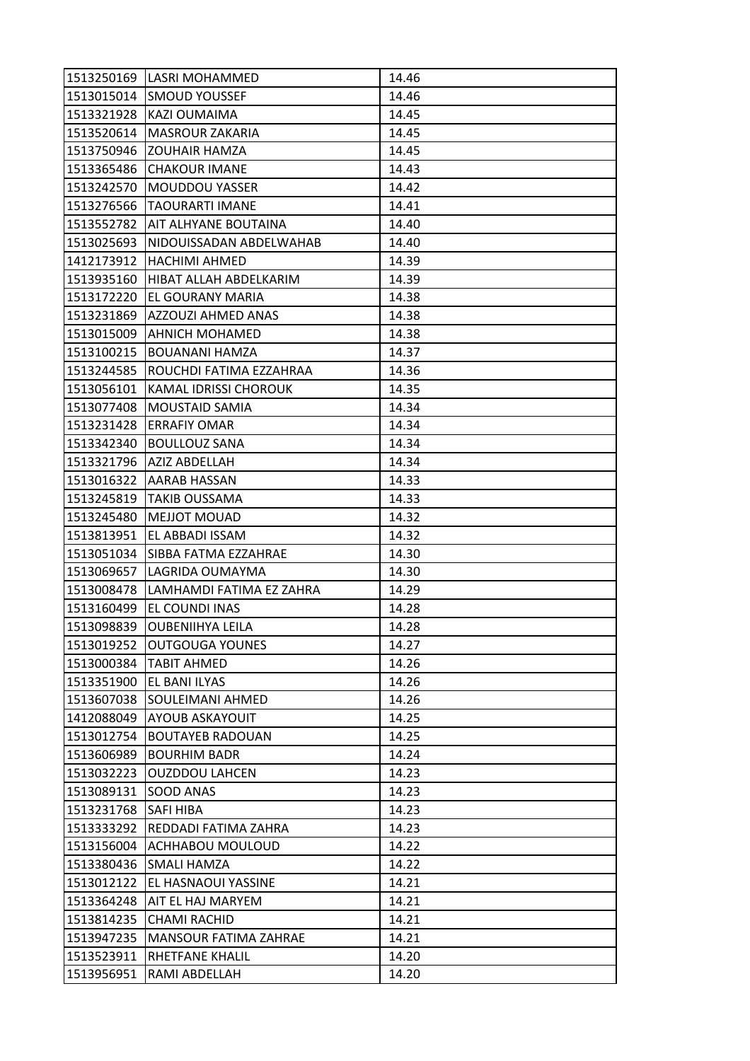| 1513250169 | LASRI MOHAMMED           | 14.46 |
|------------|--------------------------|-------|
| 1513015014 | <b>SMOUD YOUSSEF</b>     | 14.46 |
| 1513321928 | <b>KAZI OUMAIMA</b>      | 14.45 |
| 1513520614 | <b>MASROUR ZAKARIA</b>   | 14.45 |
| 1513750946 | <b>ZOUHAIR HAMZA</b>     | 14.45 |
| 1513365486 | <b>CHAKOUR IMANE</b>     | 14.43 |
| 1513242570 | <b>MOUDDOU YASSER</b>    | 14.42 |
| 1513276566 | <b>TAOURARTI IMANE</b>   | 14.41 |
| 1513552782 | AIT ALHYANE BOUTAINA     | 14.40 |
| 1513025693 | NIDOUISSADAN ABDELWAHAB  | 14.40 |
| 1412173912 | <b>HACHIMI AHMED</b>     | 14.39 |
| 1513935160 | HIBAT ALLAH ABDELKARIM   | 14.39 |
| 1513172220 | EL GOURANY MARIA         | 14.38 |
| 1513231869 | AZZOUZI AHMED ANAS       | 14.38 |
| 1513015009 | <b>AHNICH MOHAMED</b>    | 14.38 |
| 1513100215 | <b>BOUANANI HAMZA</b>    | 14.37 |
| 1513244585 | ROUCHDI FATIMA EZZAHRAA  | 14.36 |
| 1513056101 | KAMAL IDRISSI CHOROUK    | 14.35 |
| 1513077408 | <b>MOUSTAID SAMIA</b>    | 14.34 |
| 1513231428 | <b>ERRAFIY OMAR</b>      | 14.34 |
| 1513342340 | <b>BOULLOUZ SANA</b>     | 14.34 |
| 1513321796 | AZIZ ABDELLAH            | 14.34 |
| 1513016322 | AARAB HASSAN             | 14.33 |
| 1513245819 | <b>TAKIB OUSSAMA</b>     | 14.33 |
| 1513245480 | <b>MEJJOT MOUAD</b>      | 14.32 |
| 1513813951 | EL ABBADI ISSAM          | 14.32 |
| 1513051034 | ISIBBA FATMA EZZAHRAE    | 14.30 |
| 1513069657 | LAGRIDA OUMAYMA          | 14.30 |
| 1513008478 | LAMHAMDI FATIMA EZ ZAHRA | 14.29 |
| 1513160499 | EL COUNDI INAS           | 14.28 |
| 1513098839 | <b>OUBENIIHYA LEILA</b>  | 14.28 |
| 1513019252 | <b>OUTGOUGA YOUNES</b>   | 14.27 |
| 1513000384 | <b>TABIT AHMED</b>       | 14.26 |
| 1513351900 | EL BANI ILYAS            | 14.26 |
| 1513607038 | SOULEIMANI AHMED         | 14.26 |
| 1412088049 | <b>AYOUB ASKAYOUIT</b>   | 14.25 |
| 1513012754 | <b>BOUTAYEB RADOUAN</b>  | 14.25 |
| 1513606989 | <b>BOURHIM BADR</b>      | 14.24 |
| 1513032223 | <b>OUZDDOU LAHCEN</b>    | 14.23 |
| 1513089131 | SOOD ANAS                | 14.23 |
| 1513231768 | <b>SAFI HIBA</b>         | 14.23 |
| 1513333292 | REDDADI FATIMA ZAHRA     | 14.23 |
| 1513156004 | <b>ACHHABOU MOULOUD</b>  | 14.22 |
| 1513380436 | SMALI HAMZA              | 14.22 |
| 1513012122 | EL HASNAOUI YASSINE      | 14.21 |
| 1513364248 | AIT EL HAJ MARYEM        | 14.21 |
| 1513814235 | CHAMI RACHID             | 14.21 |
| 1513947235 | MANSOUR FATIMA ZAHRAE    | 14.21 |
| 1513523911 | RHETFANE KHALIL          | 14.20 |
| 1513956951 | RAMI ABDELLAH            | 14.20 |